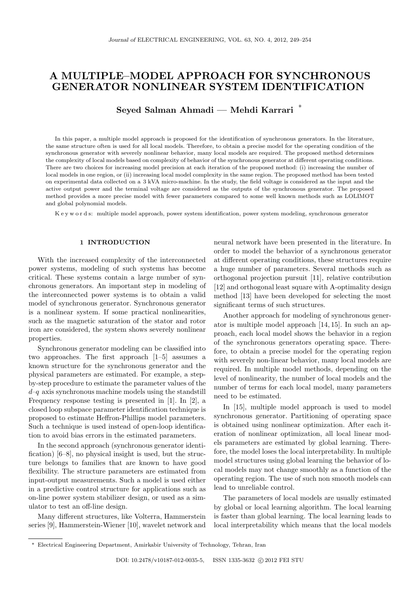# A MULTIPLE–MODEL APPROACH FOR SYNCHRONOUS GENERATOR NONLINEAR SYSTEM IDENTIFICATION

Seyed Salman Ahmadi — Mehdi Karrari <sup>∗</sup>

In this paper, a multiple model approach is proposed for the identification of synchronous generators. In the literature, the same structure often is used for all local models. Therefore, to obtain a precise model for the operating condition of the synchronous generator with severely nonlinear behavior, many local models are required. The proposed method determines the complexity of local models based on complexity of behavior of the synchronous generator at different operating conditions. There are two choices for increasing model precision at each iteration of the proposed method: (i) increasing the number of local models in one region, or (ii) increasing local model complexity in the same region. The proposed method has been tested on experimental data collected on a 3 kVA micro-machine. In the study, the field voltage is considered as the input and the active output power and the terminal voltage are considered as the outputs of the synchronous generator. The proposed method provides a more precise model with fewer parameters compared to some well known methods such as LOLIMOT and global polynomial models.

K e y w o r d s: multiple model approach, power system identification, power system modeling, synchronous generator

## 1 INTRODUCTION

With the increased complexity of the interconnected power systems, modeling of such systems has become critical. These systems contain a large number of synchronous generators. An important step in modeling of the interconnected power systems is to obtain a valid model of synchronous generator. Synchronous generator is a nonlinear system. If some practical nonlinearities, such as the magnetic saturation of the stator and rotor iron are considered, the system shows severely nonlinear properties.

Synchronous generator modeling can be classified into two approaches. The first approach [1–5] assumes a known structure for the synchronous generator and the physical parameters are estimated. For example, a stepby-step procedure to estimate the parameter values of the  $d-q$  axis synchronous machine models using the standstill Frequency response testing is presented in [1]. In [2], a closed loop subspace parameter identification technique is proposed to estimate Heffron-Phillips model parameters. Such a technique is used instead of open-loop identification to avoid bias errors in the estimated parameters.

In the second approach (synchronous generator identification) [6–8], no physical insight is used, but the structure belongs to families that are known to have good flexibility. The structure parameters are estimated from input-output measurements. Such a model is used either in a predictive control structure for applications such as on-line power system stabilizer design, or used as a simulator to test an off-line design.

Many different structures, like Volterra, Hammerstein series [9], Hammerstein-Wiener [10], wavelet network and neural network have been presented in the literature. In order to model the behavior of a synchronous generator at different operating conditions, these structures require a huge number of parameters. Several methods such as orthogonal projection pursuit [11], relative contribution [12] and orthogonal least square with A-optimality design method [13] have been developed for selecting the most significant terms of such structures.

Another approach for modeling of synchronous generator is multiple model approach [14, 15]. In such an approach, each local model shows the behavior in a region of the synchronous generators operating space. Therefore, to obtain a precise model for the operating region with severely non-linear behavior, many local models are required. In multiple model methods, depending on the level of nonlinearity, the number of local models and the number of terms for each local model, many parameters need to be estimated.

In [15], multiple model approach is used to model synchronous generator. Partitioning of operating space is obtained using nonlinear optimization. After each iteration of nonlinear optimization, all local linear models parameters are estimated by global learning. Therefore, the model loses the local interpretability. In multiple model structures using global learning the behavior of local models may not change smoothly as a function of the operating region. The use of such non smooth models can lead to unreliable control.

The parameters of local models are usually estimated by global or local learning algorithm. The local learning is faster than global learning. The local learning leads to local interpretability which means that the local models

<sup>∗</sup> Electrical Engineering Department, Amirkabir University of Technology, Tehran, Iran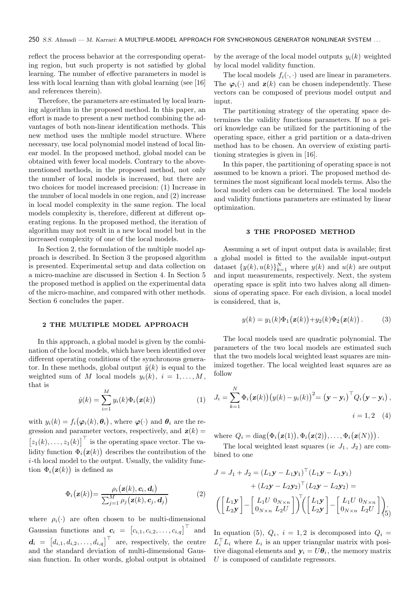reflect the process behavior at the corresponding operating region, but such property is not satisfied by global learning. The number of effective parameters in model is less with local learning than with global learning (see [16] and references therein).

Therefore, the parameters are estimated by local learning algorithm in the proposed method. In this paper, an effort is made to present a new method combining the advantages of both non-linear identification methods. This new method uses the multiple model structure. Where necessary, use local polynomial model instead of local linear model. In the proposed method, global model can be obtained with fewer local models. Contrary to the abovementioned methods, in the proposed method, not only the number of local models is increased, but there are two choices for model increased precision: (1) Increase in the number of local models in one region, and (2) increase in local model complexity in the same region. The local models complexity is, therefore, different at different operating regions. In the proposed method, the iteration of algorithm may not result in a new local model but in the increased complexity of one of the local models.

In Section 2, the formulation of the multiple model approach is described. In Section 3 the proposed algorithm is presented. Experimental setup and data collection on a micro-machine are discussed in Section 4. In Section 5 the proposed method is applied on the experimental data of the micro-machine, and compared with other methods. Section 6 concludes the paper.

#### 2 THE MULTIPLE MODEL APPROACH

In this approach, a global model is given by the combination of the local models, which have been identified over different operating conditions of the synchronous generator. In these methods, global output  $\hat{y}(k)$  is equal to the weighted sum of M local models  $y_i(k)$ ,  $i = 1, \ldots, M$ , that is

$$
\hat{y}(k) = \sum_{i=1}^{M} y_i(k)\Phi_i(\mathbf{z}(k))
$$
\n(1)

with  $y_i(k) = f_i(\varphi_i(k), \theta_i)$ , where  $\varphi(\cdot)$  and  $\theta_i$  are the regression and parameter vectors, respectively, and  $z(k)$  =  $[z_1(k), \ldots, z_1(k)]^{\top}$  is the operating space vector. The validity function  $\Phi_i(\mathbf{z}(k))$  describes the contribution of the i-th local model to the output. Usually, the validity function  $\Phi_i(\mathbf{z}(k))$  is defined as

$$
\Phi_i(\mathbf{z}(k)) = \frac{\rho_i(\mathbf{z}(k), \mathbf{c}_i, \mathbf{d}_i)}{\sum_{j=1}^M \rho_j(\mathbf{z}(k), \mathbf{c}_j, \mathbf{d}_j)}
$$
(2)

where  $\rho_i(\cdot)$  are often chosen to be multi-dimensional Gaussian functions and  $\mathbf{c}_i = [c_{i,1}, c_{i,2}, \dots, c_{i,q}]^\top$  and  $\mathbf{d}_i = [d_{i,1}, d_{i,2}, \dots, d_{i,q}]^\top$  are, respectively, the centre and the standard deviation of multi-dimensional Gaussian function. In other words, global output is obtained by the average of the local model outputs  $y_i(k)$  weighted by local model validity function.

The local models  $f_i(\cdot, \cdot)$  used are linear in parameters. The  $\varphi_i(\cdot)$  and  $z(k)$  can be chosen independently. These vectors can be composed of previous model output and input.

The partitioning strategy of the operating space determines the validity functions parameters. If no a priori knowledge can be utilized for the partitioning of the operating space, either a grid partition or a data-driven method has to be chosen. An overview of existing partitioning strategies is given in [16].

In this paper, the partitioning of operating space is not assumed to be known a priori. The proposed method determines the most significant local models terms. Also the local model orders can be determined. The local models and validity functions parameters are estimated by linear optimization.

## 3 THE PROPOSED METHOD

Assuming a set of input output data is available; first a global model is fitted to the available input-output dataset  $\{y(k), u(k)\}_{k=1}^N$  where  $y(k)$  and  $u(k)$  are output and input measurements, respectively. Next, the system operating space is split into two halves along all dimensions of operating space. For each division, a local model is considered, that is,

$$
y(k) = y_1(k)\Phi_1(\mathbf{z}(k)) + y_2(k)\Phi_2(\mathbf{z}(k)).
$$
 (3)

The local models used are quadratic polynomial. The parameters of the two local models are estimated such that the two models local weighted least squares are minimized together. The local weighted least squares are as follow

$$
J_i = \sum_{k=1}^{N} \Phi_i(\mathbf{z}(k)) (y(k) - y_i(k))^2 = (\mathbf{y} - \mathbf{y}_i)^{\top} Q_i(\mathbf{y} - \mathbf{y}_i),
$$
  
 $i = 1, 2$  (4)

where  $Q_i = \text{diag}(\Phi_i(\mathbf{z}(1)), \Phi_i(\mathbf{z}(2)), \dots, \Phi_i(\mathbf{z}(N))).$ 

The local weighted least squares (ie  $J_1$ ,  $J_2$ ) are combined to one

$$
J = J_1 + J_2 = (L_1 \mathbf{y} - L_1 \mathbf{y}_1)^{\top} (L_1 \mathbf{y} - L_1 \mathbf{y}_1)
$$
  
+  $(L_2 \mathbf{y} - L_2 \mathbf{y}_2)^{\top} (L_2 \mathbf{y} - L_2 \mathbf{y}_2) =$   

$$
\left( \begin{bmatrix} L_1 \mathbf{y} \\ L_2 \mathbf{y} \end{bmatrix} - \begin{bmatrix} L_1 U & 0_{N \times n} \\ 0_{N \times n} & L_2 U \end{bmatrix} \right)^{\top} \left( \begin{bmatrix} L_1 \mathbf{y} \\ L_2 \mathbf{y} \end{bmatrix} - \begin{bmatrix} L_1 U & 0_{N \times n} \\ 0_{N \times n} & L_2 U \end{bmatrix} \right)_{(5)}.
$$

In equation (5),  $Q_i$ ,  $i = 1, 2$  is decomposed into  $Q_i =$  $L_i^{\top} L_i$  where  $L_i$  is an upper triangular matrix with positive diagonal elements and  $y_i = U\theta_i$ , the memory matrix U is composed of candidate regressors.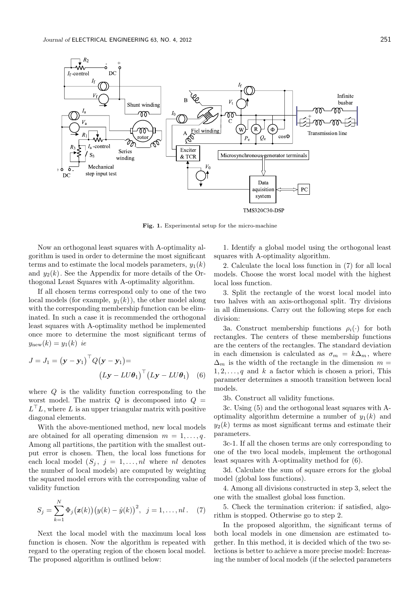

Fig. 1. Experimental setup for the micro-machine

Now an orthogonal least squares with A-optimality algorithm is used in order to determine the most significant terms and to estimate the local models parameters,  $y_1(k)$ and  $y_2(k)$ . See the Appendix for more details of the Orthogonal Least Squares with A-optimality algorithm.

If all chosen terms correspond only to one of the two local models (for example,  $y_1(k)$ ), the other model along with the corresponding membership function can be eliminated. In such a case it is recommended the orthogonal least squares with A-optimality method be implemented once more to determine the most significant terms of  $y_{\text{new}}(k) = y_1(k)$  ie

$$
J = J_1 = (\mathbf{y} - \mathbf{y}_1)^{\top} Q (\mathbf{y} - \mathbf{y}_1) =
$$

$$
(L\mathbf{y} - LU\boldsymbol{\theta}_1)^{\top} (L\mathbf{y} - LU\boldsymbol{\theta}_1) \quad (6)
$$

where Q is the validity function corresponding to the worst model. The matrix  $Q$  is decomposed into  $Q =$  $L^{\top}L$ , where L is an upper triangular matrix with positive diagonal elements.

With the above-mentioned method, new local models are obtained for all operating dimension  $m = 1, \ldots, q$ . Among all partitions, the partition with the smallest output error is chosen. Then, the local loss functions for each local model  $(S_i, j = 1, \ldots, nl$  where nl denotes the number of local models) are computed by weighting the squared model errors with the corresponding value of validity function

$$
S_j = \sum_{k=1}^{N} \Phi_j(\mathbf{z}(k)) (y(k) - \hat{y}(k))^2, \ \ j = 1, ..., n! \tag{7}
$$

Next the local model with the maximum local loss function is chosen. Now the algorithm is repeated with regard to the operating region of the chosen local model. The proposed algorithm is outlined below:

1. Identify a global model using the orthogonal least squares with A-optimality algorithm.

2. Calculate the local loss function in (7) for all local models. Choose the worst local model with the highest local loss function.

3. Split the rectangle of the worst local model into two halves with an axis-orthogonal split. Try divisions in all dimensions. Carry out the following steps for each division:

3a. Construct membership functions  $\rho_i(\cdot)$  for both rectangles. The centers of these membership functions are the centers of the rectangles. The standard deviation in each dimension is calculated as  $\sigma_m = k\Delta_m$ , where  $\Delta_m$  is the width of the rectangle in the dimension  $m =$  $1, 2, \ldots, q$  and k a factor which is chosen a priori, This parameter determines a smooth transition between local models.

3b. Construct all validity functions.

3c. Using (5) and the orthogonal least squares with Aoptimality algorithm determine a number of  $y_1(k)$  and  $y_2(k)$  terms as most significant terms and estimate their parameters.

3c-1. If all the chosen terms are only corresponding to one of the two local models, implement the orthogonal least squares with A-optimality method for (6).

3d. Calculate the sum of square errors for the global model (global loss functions).

4. Among all divisions constructed in step 3, select the one with the smallest global loss function.

5. Check the termination criterion: if satisfied, algorithm is stopped. Otherwise go to step 2.

In the proposed algorithm, the significant terms of both local models in one dimension are estimated together. In this method, it is decided which of the two selections is better to achieve a more precise model: Increasing the number of local models (if the selected parameters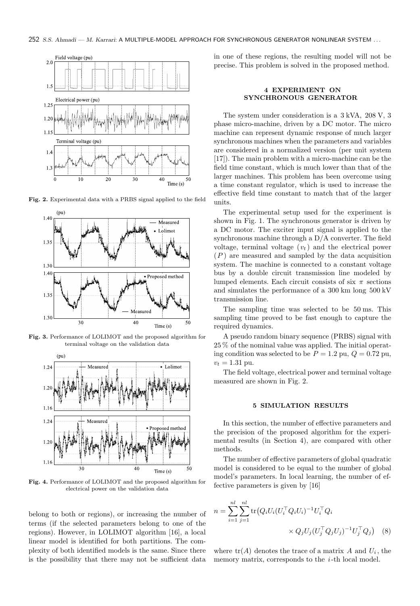

Fig. 2. Experimental data with a PRBS signal applied to the field



Fig. 3. Performance of LOLIMOT and the proposed algorithm for terminal voltage on the validation data



Fig. 4. Performance of LOLIMOT and the proposed algorithm for electrical power on the validation data

belong to both or regions), or increasing the number of terms (if the selected parameters belong to one of the regions). However, in LOLIMOT algorithm [16], a local linear model is identified for both partitions. The complexity of both identified models is the same. Since there is the possibility that there may not be sufficient data in one of these regions, the resulting model will not be precise. This problem is solved in the proposed method.

# 4 EXPERIMENT ON SYNCHRONOUS GENERATOR

The system under consideration is a 3 kVA, 208 V, 3 phase micro-machine, driven by a DC motor. The micro machine can represent dynamic response of much larger synchronous machines when the parameters and variables are considered in a normalized version (per unit system [17]). The main problem with a micro-machine can be the field time constant, which is much lower than that of the larger machines. This problem has been overcome using a time constant regulator, which is used to increase the effective field time constant to match that of the larger units.

The experimental setup used for the experiment is shown in Fig. 1. The synchronous generator is driven by a DC motor. The exciter input signal is applied to the synchronous machine through a D/A converter. The field voltage, terminal voltage  $(v_t)$  and the electrical power  $(P)$  are measured and sampled by the data acquisition system. The machine is connected to a constant voltage bus by a double circuit transmission line modeled by lumped elements. Each circuit consists of six  $\pi$  sections and simulates the performance of a 300 km long 500 kV transmission line.

The sampling time was selected to be 50 ms. This sampling time proved to be fast enough to capture the required dynamics.

A pseudo random binary sequence (PRBS) signal with 25 % of the nominal value was applied. The initial operating condition was selected to be  $P = 1.2$  pu,  $Q = 0.72$  pu,  $v_t = 1.31$  pu.

The field voltage, electrical power and terminal voltage measured are shown in Fig. 2.

## 5 SIMULATION RESULTS

In this section, the number of effective parameters and the precision of the proposed algorithm for the experimental results (in Section 4), are compared with other methods.

The number of effective parameters of global quadratic model is considered to be equal to the number of global model's parameters. In local learning, the number of effective parameters is given by [16]

$$
n = \sum_{i=1}^{nl} \sum_{j=1}^{nl} \text{tr}(Q_i U_i (U_i^\top Q_i U_i)^{-1} U_i^\top Q_i
$$

$$
\times Q_j U_j (U_j^\top Q_j U_j)^{-1} U_j^\top Q_j \tag{8}
$$

where  $tr(A)$  denotes the trace of a matrix A and  $U_i$ , the memory matrix, corresponds to the  $i$ -th local model.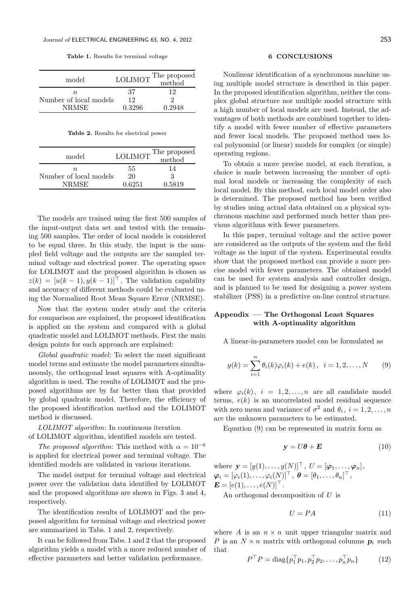Table 1. Results for terminal voltage

| model                  | <b>LOLIMOT</b> | The proposed<br>method |
|------------------------|----------------|------------------------|
| n.                     | 37             | 19                     |
| Number of local models | 12             |                        |
| <b>NRMSE</b>           | 0.3296         | 0.2948                 |

Table 2. Results for electrical power

| model                  | <b>LOLIMOT</b> | The proposed<br>method |
|------------------------|----------------|------------------------|
| n.                     | 55             | 14                     |
| Number of local models | $20 -$         | 3                      |
| <b>NRMSE</b>           | 0.6251         | 0.5819                 |

The models are trained using the first 500 samples of the input-output data set and tested with the remaining 500 samples. The order of local models is considered to be equal three. In this study, the input is the sampled field voltage and the outputs are the sampled terminal voltage and electrical power. The operating space for LOLIMOT and the proposed algorithm is chosen as  $z(k) = [u(k-1), y(k-1)]^{\top}$ . The validation capability and accuracy of different methods could be evaluated using the Normalized Root Mean Square Error (NRMSE).

Now that the system under study and the criteria for comparison are explained, the proposed identification is applied on the system and compared with a global quadratic model and LOLIMOT methods. First the main design points for each approach are explained:

Global quadratic model: To select the most significant model terms and estimate the model parameters simultaneously, the orthogonal least squares with A-optimality algorithm is used. The results of LOLIMOT and the proposed algorithms are by far better than that provided by global quadratic model. Therefore, the efficiency of the proposed identification method and the LOLIMOT method is discussed.

LOLIMOT algorithm: In continuous iteration of LOLIMOT algorithm, identified models are tested.

The proposed algorithm: This method with  $\alpha = 10^{-6}$ is applied for electrical power and terminal voltage. The identified models are validated in various iterations.

The model output for terminal voltage and electrical power over the validation data identified by LOLIMOT and the proposed algorithms are shown in Figs. 3 and 4, respectively.

The identification results of LOLIMOT and the proposed algorithm for terminal voltage and electrical power are summarized in Tabs. 1 and 2, respectively.

It can be followed from Tabs. 1 and 2 that the proposed algorithm yields a model with a more reduced number of effective parameters and better validation performance.

#### 6 CONCLUSIONS

Nonlinear identification of a synchronous machine using multiple model structure is described in this paper. In the proposed identification algorithm, neither the complex global structure nor multiple model structure with a high number of local models are used. Instead, the advantages of both methods are combined together to identify a model with fewer number of effective parameters and fewer local models. The proposed method uses local polynomial (or linear) models for complex (or simple) operating regions.

To obtain a more precise model, at each iteration, a choice is made between increasing the number of optimal local models or increasing the complexity of each local model. By this method, each local model order also is determined. The proposed method has been verified by studies using actual data obtained on a physical synchronous machine and performed much better than previous algorithms with fewer parameters.

In this paper, terminal voltage and the active power are considered as the outputs of the system and the field voltage as the input of the system. Experimental results show that the proposed method can provide a more precise model with fewer parameters. The obtained model can be used for system analysis and controller design, and is planned to be used for designing a power system stabilizer (PSS) in a predictive on-line control structure.

## Appendix — The Orthogonal Least Squares with A-optimality algorithm

A linear-in-parameters model can be formulated as

$$
y(k) = \sum_{i=1}^{n} \theta_i(k)\varphi_i(k) + e(k), \quad i = 1, 2, ..., N \qquad (9)
$$

where  $\varphi_i(k)$ ,  $i = 1, 2, ..., n$  are all candidate model terms,  $e(k)$  is an uncorrelated model residual sequence with zero mean and variance of  $\sigma^2$  and  $\theta_i$ ,  $i = 1, 2, ..., n$ are the unknown parameters to be estimated.

Equation (9) can be represented in matrix form as

$$
y = U\theta + E \tag{10}
$$

where  $\mathbf{y} = [y(1), \ldots, y(N)]^\top$ ,  $U = [\boldsymbol{\varphi}_1, \ldots, \boldsymbol{\varphi}_n]$ ,  $\boldsymbol{\varphi}_i = [\varphi_i(1), \ldots, \varphi_i(N)]^\top \,,\ \boldsymbol{\theta} = [\theta_1, \ldots, \theta_n]^\top \,,$  $\mathbf{E} = [e(1), \ldots, e(N)]^{\top}$ .

An orthogonal decomposition of U is

$$
U = PA \tag{11}
$$

where A is an  $n \times n$  unit upper triangular matrix and P is an  $N \times n$  matrix with orthogonal columns  $p_i$  such that

$$
P^{\top} P = \text{diag}\{p_1^{\top} p_1, p_2^{\top} p_2, \dots, p_n^{\top} p_n\} \tag{12}
$$